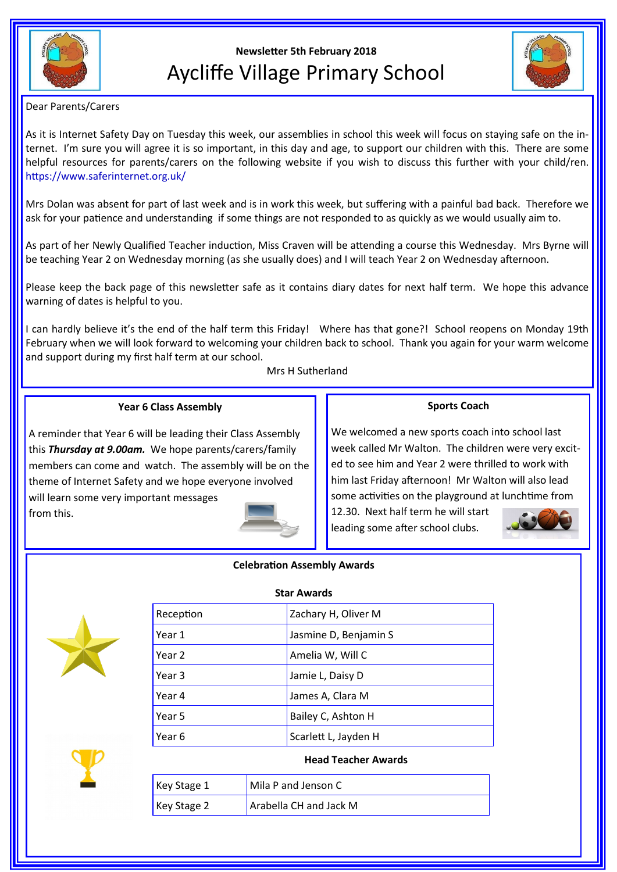

# **Newsletter 5th February 2018** Aycliffe Village Primary School



Dear Parents/Carers

As it is Internet Safety Day on Tuesday this week, our assemblies in school this week will focus on staying safe on the internet. I'm sure you will agree it is so important, in this day and age, to support our children with this. There are some helpful resources for parents/carers on the following website if you wish to discuss this further with your child/ren. https://www.saferinternet.org.uk/

Mrs Dolan was absent for part of last week and is in work this week, but suffering with a painful bad back. Therefore we ask for your patience and understanding if some things are not responded to as quickly as we would usually aim to.

As part of her Newly Qualified Teacher induction, Miss Craven will be attending a course this Wednesday. Mrs Byrne will be teaching Year 2 on Wednesday morning (as she usually does) and I will teach Year 2 on Wednesday afternoon.

Please keep the back page of this newsletter safe as it contains diary dates for next half term. We hope this advance warning of dates is helpful to you.

I can hardly believe it's the end of the half term this Friday! Where has that gone?! School reopens on Monday 19th February when we will look forward to welcoming your children back to school. Thank you again for your warm welcome and support during my first half term at our school.

Mrs H Sutherland

# **Year 6 Class Assembly**

A reminder that Year 6 will be leading their Class Assembly this *Thursday at 9.00am.* We hope parents/carers/family members can come and watch. The assembly will be on the theme of Internet Safety and we hope everyone involved will learn some very important messages from this.



### **Sports Coach**

We welcomed a new sports coach into school last week called Mr Walton. The children were very excited to see him and Year 2 were thrilled to work with him last Friday afternoon! Mr Walton will also lead some activities on the playground at lunchtime from

12.30. Next half term he will start leading some after school clubs.





| JIAI AWAIUS |                       |
|-------------|-----------------------|
| Reception   | Zachary H, Oliver M   |
| Year 1      | Jasmine D, Benjamin S |
| Year 2      | Amelia W, Will C      |
| Year 3      | Jamie L, Daisy D      |
| Year 4      | James A, Clara M      |
| Year 5      | Bailey C, Ashton H    |
| Year 6      | Scarlett L, Jayden H  |
|             |                       |

#### **Head Teacher Awards**

| Key Stage $1$        | Mila P and Jenson C    |
|----------------------|------------------------|
| $\kappa$ Key Stage 2 | Arabella CH and Jack M |

#### **Star Awards**

**Celebration Assembly Awards**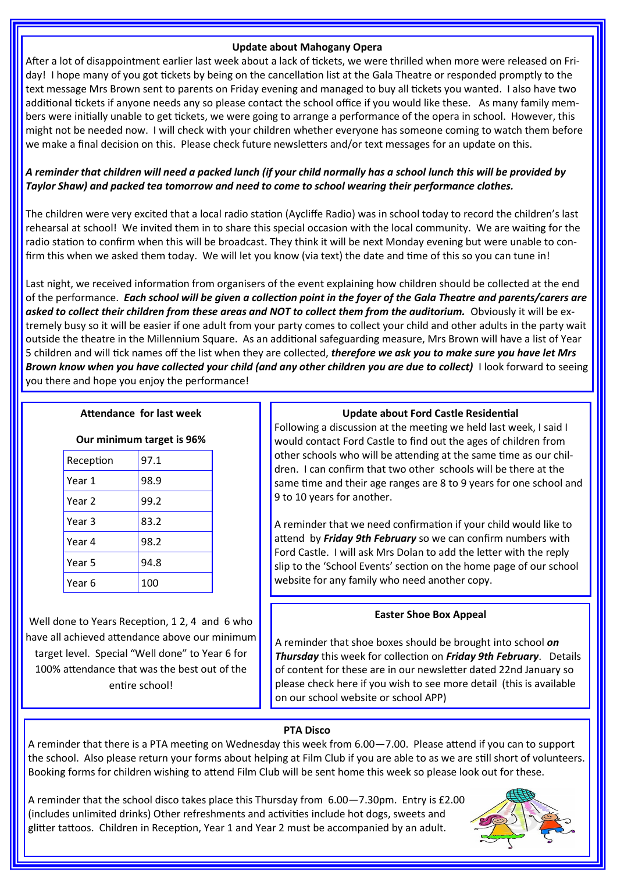#### **Update about Mahogany Opera**

After a lot of disappointment earlier last week about a lack of tickets, we were thrilled when more were released on Friday! I hope many of you got tickets by being on the cancellation list at the Gala Theatre or responded promptly to the text message Mrs Brown sent to parents on Friday evening and managed to buy all tickets you wanted. I also have two additional tickets if anyone needs any so please contact the school office if you would like these. As many family members were initially unable to get tickets, we were going to arrange a performance of the opera in school. However, this might not be needed now. I will check with your children whether everyone has someone coming to watch them before we make a final decision on this. Please check future newsletters and/or text messages for an update on this.

# *A reminder that children will need a packed lunch (if your child normally has a school lunch this will be provided by Taylor Shaw) and packed tea tomorrow and need to come to school wearing their performance clothes.*

The children were very excited that a local radio station (Aycliffe Radio) was in school today to record the children's last rehearsal at school! We invited them in to share this special occasion with the local community. We are waiting for the radio station to confirm when this will be broadcast. They think it will be next Monday evening but were unable to confirm this when we asked them today. We will let you know (via text) the date and time of this so you can tune in!

Last night, we received information from organisers of the event explaining how children should be collected at the end of the performance. *Each school will be given a collection point in the foyer of the Gala Theatre and parents/carers are*  asked to collect their children from these areas and NOT to collect them from the auditorium. Obviously it will be extremely busy so it will be easier if one adult from your party comes to collect your child and other adults in the party wait outside the theatre in the Millennium Square. As an additional safeguarding measure, Mrs Brown will have a list of Year 5 children and will tick names off the list when they are collected, *therefore we ask you to make sure you have let Mrs Brown know when you have collected your child (and any other children you are due to collect)* I look forward to seeing you there and hope you enjoy the performance!

### **Attendance for last week**

## **Our minimum target is 96%**

| Reception | 97.1 |
|-----------|------|
| Year 1    | 98.9 |
| Year 2    | 99.2 |
| Year 3    | 83.2 |
| Year 4    | 98.2 |
| Year 5    | 94.8 |
| Year 6    | 100  |

Well done to Years Reception, 1 2, 4 and 6 who have all achieved attendance above our minimum target level. Special "Well done" to Year 6 for 100% attendance that was the best out of the entire school!

# **Update about Ford Castle Residential**

Following a discussion at the meeting we held last week, I said I would contact Ford Castle to find out the ages of children from other schools who will be attending at the same time as our children. I can confirm that two other schools will be there at the same time and their age ranges are 8 to 9 years for one school and 9 to 10 years for another.

A reminder that we need confirmation if your child would like to attend by *Friday 9th February* so we can confirm numbers with Ford Castle. I will ask Mrs Dolan to add the letter with the reply slip to the 'School Events' section on the home page of our school website for any family who need another copy.

# **Easter Shoe Box Appeal**

A reminder that shoe boxes should be brought into school *on Thursday* this week for collection on *Friday 9th February*. Details of content for these are in our newsletter dated 22nd January so please check here if you wish to see more detail (this is available on our school website or school APP)

# **PTA Disco**

A reminder that there is a PTA meeting on Wednesday this week from 6.00—7.00. Please attend if you can to support the school. Also please return your forms about helping at Film Club if you are able to as we are still short of volunteers. Booking forms for children wishing to attend Film Club will be sent home this week so please look out for these.

A reminder that the school disco takes place this Thursday from 6.00—7.30pm. Entry is £2.00 (includes unlimited drinks) Other refreshments and activities include hot dogs, sweets and glitter tattoos. Children in Reception, Year 1 and Year 2 must be accompanied by an adult.